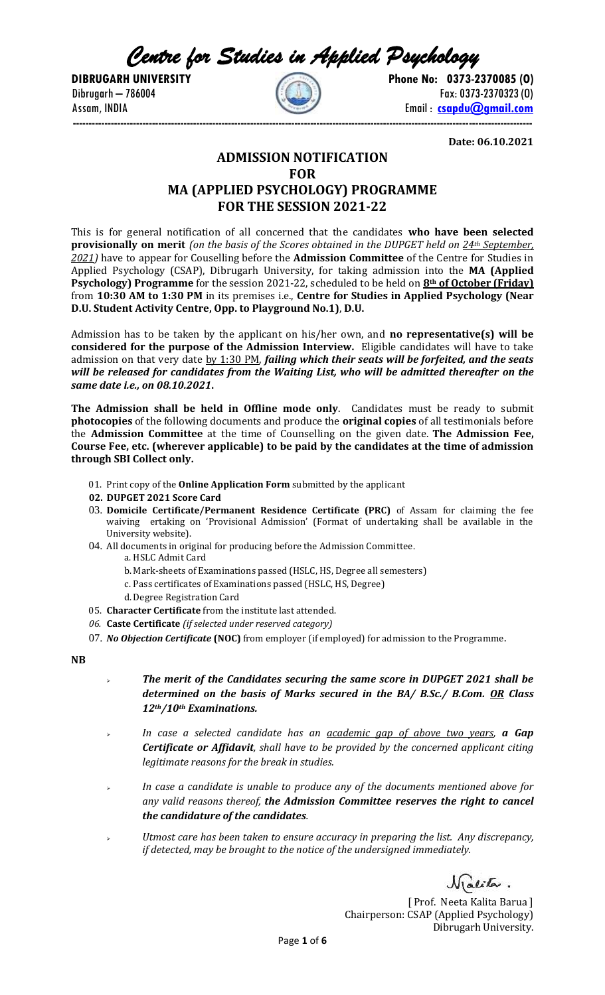*Centre for Studies in Applied Psychology* 



**DIBRUGARH UNIVERSITY** Phone No: 0373-2370085 (0)  $\left( \begin{array}{cc} 0.734 & -0.786004 \\ 0.734 & -0.786004 \end{array} \right)$  Fax: 0373-2370323 (0) Assam, INDIA Email : **[csapdu@gmail.com](mailto:csapdu@gmail.com) -------------------------------------------------------------------------------------------------------------------------------------------------**

**Date: 06.10.2021**

# **ADMISSION NOTIFICATION FOR MA (APPLIED PSYCHOLOGY) PROGRAMME FOR THE SESSION 2021-22**

This is for general notification of all concerned that the candidates **who have been selected provisionally on merit** *(on the basis of the Scores obtained in the DUPGET held on 24th September, 2021)* have to appear for Couselling before the **Admission Committee** of the Centre for Studies in Applied Psychology (CSAP), Dibrugarh University, for taking admission into the **MA (Applied Psychology) Programme** for the session 2021-22, scheduled to be held on **8th of October (Friday)** from **10:30 AM to 1:30 PM** in its premises i.e., **Centre for Studies in Applied Psychology (Near D.U. Student Activity Centre, Opp. to Playground No.1)**, **D.U.**

Admission has to be taken by the applicant on his/her own, and **no representative(s) will be considered for the purpose of the Admission Interview.** Eligible candidates will have to take admission on that very date by 1:30 PM, *failing which their seats will be forfeited, and the seats will be released for candidates from the Waiting List, who will be admitted thereafter on the same date i.e., on 08.10.2021***.**

**The Admission shall be held in Offline mode only**. Candidates must be ready to submit **photocopies** of the following documents and produce the **original copies** of all testimonials before the **Admission Committee** at the time of Counselling on the given date. **The Admission Fee, Course Fee, etc. (wherever applicable) to be paid by the candidates at the time of admission through SBI Collect only.**

- 01. Print copy of the **Online Application Form** submitted by the applicant
- **02. DUPGET 2021 Score Card**
- 03. **Domicile Certificate/Permanent Residence Certificate (PRC)** of Assam for claiming the fee waiving ertaking on 'Provisional Admission' (Format of undertaking shall be available in the University website).
- 04. All documents in original for producing before the Admission Committee.
	- a. HSLC Admit Card
	- b. Mark-sheets of Examinations passed (HSLC, HS, Degree all semesters)
	- c. Pass certificates of Examinations passed (HSLC, HS, Degree)
	- d.Degree Registration Card
- 05. **Character Certificate** from the institute last attended.
- *06.* **Caste Certificate** *(if selected under reserved category)*
- 07. *No Objection Certificate* **(NOC)** from employer (if employed) for admission to the Programme.

**NB**

- ➢ *The merit of the Candidates securing the same score in DUPGET 2021 shall be determined on the basis of Marks secured in the BA/ B.Sc./ B.Com. OR Class 12th/10th Examinations.*
- ➢ *In case a selected candidate has an academic gap of above two years, a Gap Certificate or Affidavit, shall have to be provided by the concerned applicant citing legitimate reasons for the break in studies.*
- In case a candidate is unable to produce any of the documents mentioned above for *any valid reasons thereof, the Admission Committee reserves the right to cancel the candidature of the candidates.*
- ➢ *Utmost care has been taken to ensure accuracy in preparing the list. Any discrepancy, if detected, may be brought to the notice of the undersigned immediately.*

Vialita.

[ Prof. Neeta Kalita Barua ] Chairperson: CSAP (Applied Psychology) Dibrugarh University.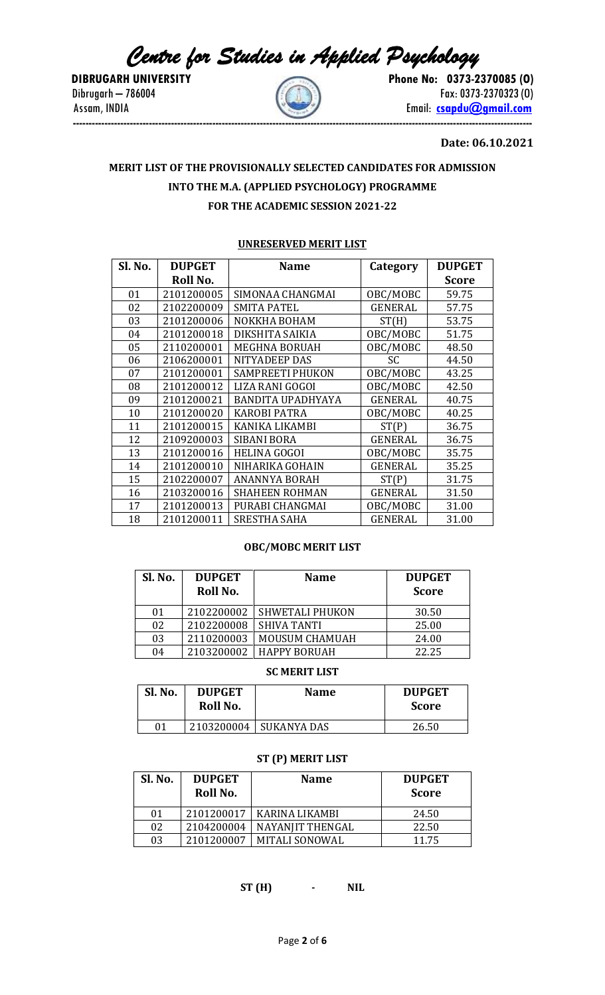*Centre for Studies in Applied Psychology* 

**DIBRUGARH UNIVERSITY Phone No: 0373-2370085 (O)** Dibrugarh – 786004 **Fax: 0373-2370323 (O)** Assam, INDIA Email: **[csapdu@gmail.com](mailto:csapdu@gmail.com) -------------------------------------------------------------------------------------------------------------------------------------------------**

## **Date: 06.10.2021**

# **MERIT LIST OF THE PROVISIONALLY SELECTED CANDIDATES FOR ADMISSION INTO THE M.A. (APPLIED PSYCHOLOGY) PROGRAMME FOR THE ACADEMIC SESSION 2021-22**

#### **UNRESERVED MERIT LIST**

| Sl. No. | <b>DUPGET</b> | <b>Name</b>              | Category       | <b>DUPGET</b> |
|---------|---------------|--------------------------|----------------|---------------|
|         | Roll No.      |                          |                | <b>Score</b>  |
| 01      | 2101200005    | SIMONAA CHANGMAI         | OBC/MOBC       | 59.75         |
| 02      | 2102200009    | <b>SMITA PATEL</b>       | <b>GENERAL</b> | 57.75         |
| 03      | 2101200006    | NOKKHA BOHAM             | ST(H)          | 53.75         |
| 04      | 2101200018    | DIKSHITA SAIKIA          | OBC/MOBC       | 51.75         |
| 05      | 2110200001    | <b>MEGHNA BORUAH</b>     | OBC/MOBC       | 48.50         |
| 06      | 2106200001    | NITYADEEP DAS            | SC             | 44.50         |
| 07      | 2101200001    | <b>SAMPREETI PHUKON</b>  | OBC/MOBC       | 43.25         |
| 08      | 2101200012    | LIZA RANI GOGOI          | OBC/MOBC       | 42.50         |
| 09      | 2101200021    | <b>BANDITA UPADHYAYA</b> | <b>GENERAL</b> | 40.75         |
| 10      | 2101200020    | <b>KAROBI PATRA</b>      | OBC/MOBC       | 40.25         |
| 11      | 2101200015    | KANIKA LIKAMBI           | ST(P)          | 36.75         |
| 12      | 2109200003    | <b>SIBANI BORA</b>       | GENERAL        | 36.75         |
| 13      | 2101200016    | <b>HELINA GOGOI</b>      | OBC/MOBC       | 35.75         |
| 14      | 2101200010    | NIHARIKA GOHAIN          | GENERAL        | 35.25         |
| 15      | 2102200007    | <b>ANANNYA BORAH</b>     | ST(P)          | 31.75         |
| 16      | 2103200016    | <b>SHAHEEN ROHMAN</b>    | GENERAL        | 31.50         |
| 17      | 2101200013    | PURABI CHANGMAI          | OBC/MOBC       | 31.00         |
| 18      | 2101200011    | <b>SRESTHA SAHA</b>      | GENERAL        | 31.00         |

## **OBC/MOBC MERIT LIST**

| Sl. No. | <b>DUPGET</b><br>Roll No. | <b>Name</b>            | <b>DUPGET</b><br><b>Score</b> |
|---------|---------------------------|------------------------|-------------------------------|
| 01      | 2102200002                | <b>SHWETALI PHUKON</b> | 30.50                         |
| 02      | 2102200008                | <b>SHIVA TANTI</b>     | 25.00                         |
| 03      | 2110200003                | MOUSUM CHAMUAH         | 24.00                         |
| 04      | 2103200002                | <b>HAPPY BORUAH</b>    | 22.25                         |

## **SC MERIT LIST**

| Sl. No. | <b>DUPGET</b><br>Roll No. | <b>Name</b> | <b>DUPGET</b><br><b>Score</b> |
|---------|---------------------------|-------------|-------------------------------|
| 01      | 2103200004                | SUKANYA DAS | 26.50                         |

# **ST (P) MERIT LIST**

| Sl. No. | <b>DUPGET</b><br>Roll No. | <b>Name</b>           | <b>DUPGET</b><br><b>Score</b> |
|---------|---------------------------|-----------------------|-------------------------------|
| 01      | 2101200017                | KARINA LIKAMBI        | 24.50                         |
| 02      | 2104200004                | NAYANIIT THENGAL      | 22.50                         |
| 03      | 2101200007                | <b>MITALI SONOWAL</b> | 11.75                         |

**ST (H) - NIL**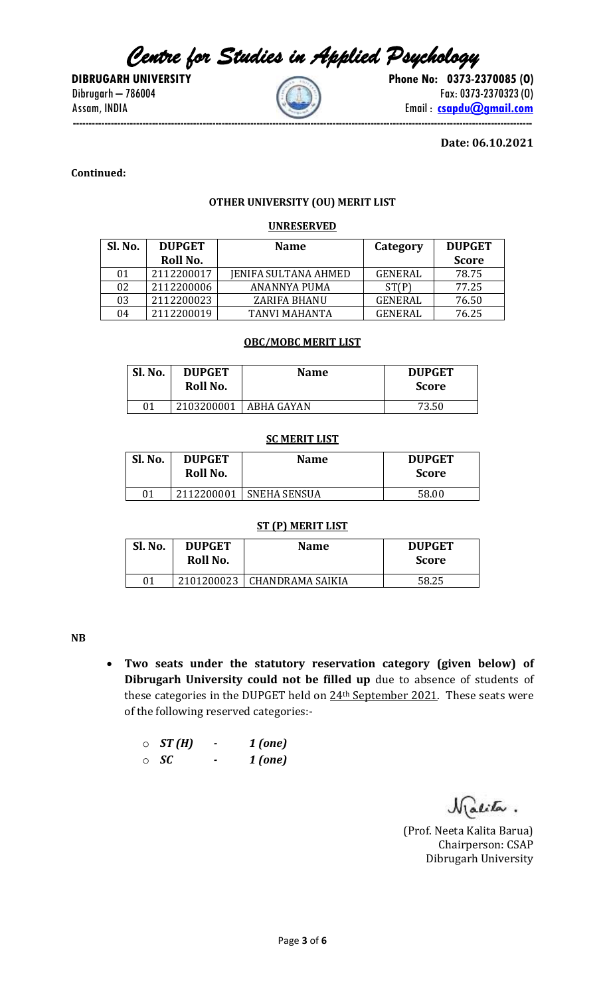*Centre for Studies in Applied Psychology* 

**DIBRUGARH UNIVERSITY** Phone No: 0373-2370085 (0)  $Dibrugarh - 786004$  Fax: 0373-2370323 (0) Assam, INDIA **Email : Comparison** Email : **[csapdu@gmail.com](mailto:csapdu@gmail.com) -------------------------------------------------------------------------------------------------------------------------------------------------**

**Date: 06.10.2021**

**Continued:** 

# **OTHER UNIVERSITY (OU) MERIT LIST**

# **UNRESERVED**

| Sl. No. | <b>DUPGET</b> | <b>Name</b>                 | Category       | <b>DUPGET</b> |
|---------|---------------|-----------------------------|----------------|---------------|
|         | Roll No.      |                             |                | <b>Score</b>  |
| 01      | 2112200017    | <b>JENIFA SULTANA AHMED</b> | <b>GENERAL</b> | 78.75         |
| 02      | 2112200006    | ANANNYA PUMA                | ST(P)          | 77.25         |
| 03      | 2112200023    | ZARIFA BHANU                | GENERAL        | 76.50         |
| 04      | 2112200019    | TANVI MAHANTA               | GENERAL        | 76.25         |

#### **OBC/MOBC MERIT LIST**

| Sl. No. | <b>DUPGET</b><br>Roll No. | <b>Name</b> | <b>DUPGET</b><br><b>Score</b> |
|---------|---------------------------|-------------|-------------------------------|
| 01      | 2103200001                | ABHA GAYAN  | 73.50                         |

# **SC MERIT LIST**

| Sl. No. | <b>DUPGET</b><br>Roll No. | <b>Name</b>         | <b>DUPGET</b><br><b>Score</b> |
|---------|---------------------------|---------------------|-------------------------------|
| 01      | 2112200001                | <b>SNEHA SENSUA</b> | 58.00                         |

### **ST (P) MERIT LIST**

| Sl. No. | <b>DUPGET</b><br>Roll No. | <b>Name</b>       | <b>DUPGET</b><br><b>Score</b> |
|---------|---------------------------|-------------------|-------------------------------|
| 01      | 2101200023                | LCHANDRAMA SAIKIA | 58.25                         |

**NB**

• **Two seats under the statutory reservation category (given below) of Dibrugarh University could not be filled up** due to absence of students of these categories in the DUPGET held on  $24<sup>th</sup>$  September 2021. These seats were of the following reserved categories:-

| $\circ$ ST(H) | 1 (one) |
|---------------|---------|
| $\circ$ SC    | 1 (one) |

Malita.

(Prof. Neeta Kalita Barua) Chairperson: CSAP Dibrugarh University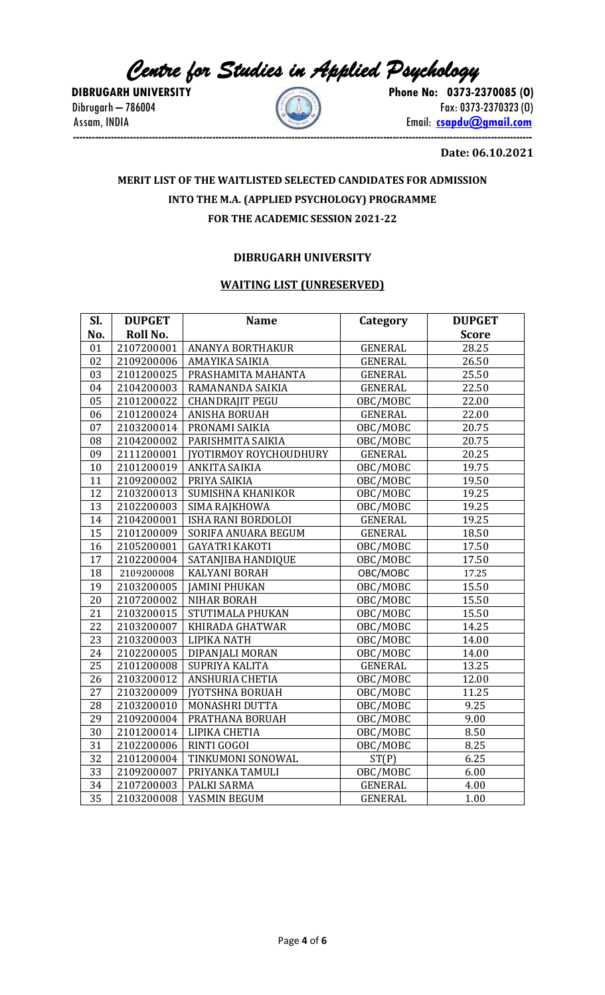*Centre for Studies in Applied Psychology* 



**DIBRUGARH UNIVERSITY** Phone No: 0373-2370085 (0) Dibrugarh – 786004  $\left(\begin{array}{c} 0 & 0 \\ 0 & 0 \end{array}\right)$  Fax: 0373-2370323 (0) Assam, INDIA **Email: Comparison Comparison** Email: **comparison Email: comparison -------------------------------------------------------------------------------------------------------------------------------------------------**

**Date: 06.10.2021**

# **MERIT LIST OF THE WAITLISTED SELECTED CANDIDATES FOR ADMISSION INTO THE M.A. (APPLIED PSYCHOLOGY) PROGRAMME FOR THE ACADEMIC SESSION 2021-22**

# **DIBRUGARH UNIVERSITY**

# **WAITING LIST (UNRESERVED)**

| Sl.             | <b>DUPGET</b> | <b>Name</b>                   | Category       | <b>DUPGET</b>      |
|-----------------|---------------|-------------------------------|----------------|--------------------|
| No.             | Roll No.      |                               |                | <b>Score</b>       |
| 01              | 2107200001    | <b>ANANYA BORTHAKUR</b>       | <b>GENERAL</b> | 28.25              |
| 02              | 2109200006    | AMAYIKA SAIKIA                | <b>GENERAL</b> | 26.50              |
| 03              | 2101200025    | PRASHAMITA MAHANTA            | <b>GENERAL</b> | 25.50              |
| 04              | 2104200003    | RAMANANDA SAIKIA              | <b>GENERAL</b> | $22.\overline{50}$ |
| 05              | 2101200022    | <b>CHANDRAJIT PEGU</b>        | OBC/MOBC       | 22.00              |
| 06              | 2101200024    | ANISHA BORUAH                 | <b>GENERAL</b> | 22.00              |
| 07              |               | 2103200014   PRONAMI SAIKIA   | OBC/MOBC       | 20.75              |
| 08              | 2104200002    | PARISHMITA SAIKIA             | OBC/MOBC       | 20.75              |
| 09              | 2111200001    | <b>IYOTIRMOY ROYCHOUDHURY</b> | GENERAL        | 20.25              |
| 10              | 2101200019    | ANKITA SAIKIA                 | OBC/MOBC       | 19.75              |
| 11              | 2109200002    | PRIYA SAIKIA                  | OBC/MOBC       | 19.50              |
| 12              | 2103200013    | SUMISHNA KHANIKOR             | OBC/MOBC       | 19.25              |
| 13              | 2102200003    | SIMA RAJKHOWA                 | OBC/MOBC       | 19.25              |
| 14              | 2104200001    | ISHA RANI BORDOLOI            | <b>GENERAL</b> | 19.25              |
| $\overline{15}$ | 2101200009    | SORIFA ANUARA BEGUM           | GENERAL        | 18.50              |
| 16              | 2105200001    | <b>GAYATRI KAKOTI</b>         | OBC/MOBC       | 17.50              |
| 17              | 2102200004    | SATANJIBA HANDIQUE            | OBC/MOBC       | 17.50              |
| 18              | 2109200008    | KALYANI BORAH                 | OBC/MOBC       | 17.25              |
| 19              | 2103200005    | JAMINI PHUKAN                 | OBC/MOBC       | 15.50              |
| 20              | 2107200002    | <b>NIHAR BORAH</b>            | OBC/MOBC       | 15.50              |
| 21              | 2103200015    | STUTIMALA PHUKAN              | OBC/MOBC       | 15.50              |
| 22              | 2103200007    | KHIRADA GHATWAR               | OBC/MOBC       | 14.25              |
| 23              | 2103200003    | LIPIKA NATH                   | OBC/MOBC       | 14.00              |
| 24              | 2102200005    | DIPANJALI MORAN               | OBC/MOBC       | 14.00              |
| 25              | 2101200008    | SUPRIYA KALITA                | GENERAL        | 13.25              |
| 26              | 2103200012    | ANSHURIA CHETIA               | OBC/MOBC       | 12.00              |
| $\overline{27}$ | 2103200009    | <b>IYOTSHNA BORUAH</b>        | OBC/MOBC       | 11.25              |
| 28              | 2103200010    | MONASHRI DUTTA                | OBC/MOBC       | 9.25               |
| 29              | 2109200004    | PRATHANA BORUAH               | OBC/MOBC       | 9.00               |
| 30              |               | 2101200014   LIPIKA CHETIA    | OBC/MOBC       | 8.50               |
| 31              | 2102200006    | <b>RINTI GOGOI</b>            | OBC/MOBC       | 8.25               |
| 32              | 2101200004    | TINKUMONI SONOWAL             | ST(P)          | 6.25               |
| 33              | 2109200007    | PRIYANKA TAMULI               | OBC/MOBC       | 6.00               |
| 34              | 2107200003    | PALKI SARMA                   | <b>GENERAL</b> | 4.00               |
| 35              | 2103200008    | YASMIN BEGUM                  | <b>GENERAL</b> | 1.00               |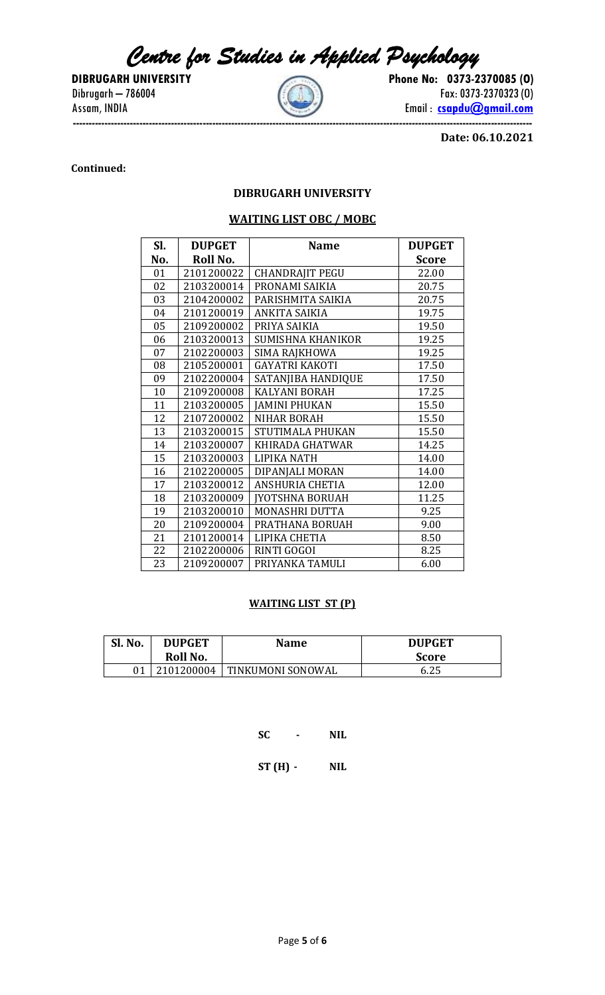*Centre for Studies in Applied Psychology* 



**DIBRUGARH UNIVERSITY** Phone No: 0373-2370085 (0)  $Dibrugarh - 786004$  Fax: 0373-2370323 (0) Assam, INDIA **Email : Comparison** Email : **[csapdu@gmail.com](mailto:csapdu@gmail.com) -------------------------------------------------------------------------------------------------------------------------------------------------**

**Date: 06.10.2021**

# **Continued:**

# **DIBRUGARH UNIVERSITY**

# **WAITING LIST OBC / MOBC**

| Sl. | <b>DUPGET</b> | <b>Name</b>            | <b>DUPGET</b> |
|-----|---------------|------------------------|---------------|
| No. | Roll No.      |                        | <b>Score</b>  |
| 01  | 2101200022    | <b>CHANDRAJIT PEGU</b> | 22.00         |
| 02  | 2103200014    | PRONAMI SAIKIA         | 20.75         |
| 03  | 2104200002    | PARISHMITA SAIKIA      | 20.75         |
| 04  | 2101200019    | ANKITA SAIKIA          | 19.75         |
| 05  | 2109200002    | PRIYA SAIKIA           | 19.50         |
| 06  | 2103200013    | SUMISHNA KHANIKOR      | 19.25         |
| 07  | 2102200003    | SIMA RAJKHOWA          | 19.25         |
| 08  | 2105200001    | <b>GAYATRI KAKOTI</b>  | 17.50         |
| 09  | 2102200004    | SATANJIBA HANDIQUE     | 17.50         |
| 10  | 2109200008    | <b>KALYANI BORAH</b>   | 17.25         |
| 11  | 2103200005    | <b>JAMINI PHUKAN</b>   | 15.50         |
| 12  | 2107200002    | <b>NIHAR BORAH</b>     | 15.50         |
| 13  | 2103200015    | STUTIMALA PHUKAN       | 15.50         |
| 14  | 2103200007    | KHIRADA GHATWAR        | 14.25         |
| 15  | 2103200003    | LIPIKA NATH            | 14.00         |
| 16  | 2102200005    | DIPANJALI MORAN        | 14.00         |
| 17  | 2103200012    | <b>ANSHURIA CHETIA</b> | 12.00         |
| 18  | 2103200009    | <b>JYOTSHNA BORUAH</b> | 11.25         |
| 19  | 2103200010    | <b>MONASHRI DUTTA</b>  | 9.25          |
| 20  | 2109200004    | PRATHANA BORUAH        | 9.00          |
| 21  | 2101200014    | LIPIKA CHETIA          | 8.50          |
| 22  | 2102200006    | RINTI GOGOI            | 8.25          |
| 23  | 2109200007    | PRIYANKA TAMULI        | 6.00          |

#### **WAITING LIST ST (P)**

| Sl. No. | <b>DUPGET</b><br>Roll No. | <b>Name</b>       | <b>DUPGET</b><br>Score |
|---------|---------------------------|-------------------|------------------------|
|         | 2101200004                | TINKUMONI SONOWAL | 6.25                   |

**SC - NIL**

**ST (H) - NIL**